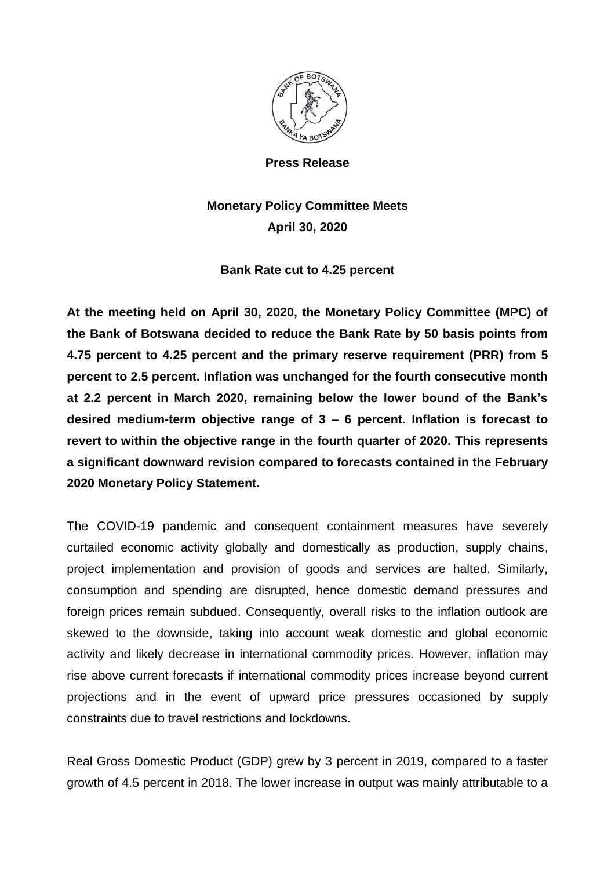

**Press Release**

## **Monetary Policy Committee Meets April 30, 2020**

## **Bank Rate cut to 4.25 percent**

**At the meeting held on April 30, 2020, the Monetary Policy Committee (MPC) of the Bank of Botswana decided to reduce the Bank Rate by 50 basis points from 4.75 percent to 4.25 percent and the primary reserve requirement (PRR) from 5 percent to 2.5 percent. Inflation was unchanged for the fourth consecutive month at 2.2 percent in March 2020, remaining below the lower bound of the Bank's desired medium-term objective range of 3 – 6 percent. Inflation is forecast to revert to within the objective range in the fourth quarter of 2020. This represents a significant downward revision compared to forecasts contained in the February 2020 Monetary Policy Statement.**

The COVID-19 pandemic and consequent containment measures have severely curtailed economic activity globally and domestically as production, supply chains, project implementation and provision of goods and services are halted. Similarly, consumption and spending are disrupted, hence domestic demand pressures and foreign prices remain subdued. Consequently, overall risks to the inflation outlook are skewed to the downside, taking into account weak domestic and global economic activity and likely decrease in international commodity prices. However, inflation may rise above current forecasts if international commodity prices increase beyond current projections and in the event of upward price pressures occasioned by supply constraints due to travel restrictions and lockdowns.

Real Gross Domestic Product (GDP) grew by 3 percent in 2019, compared to a faster growth of 4.5 percent in 2018. The lower increase in output was mainly attributable to a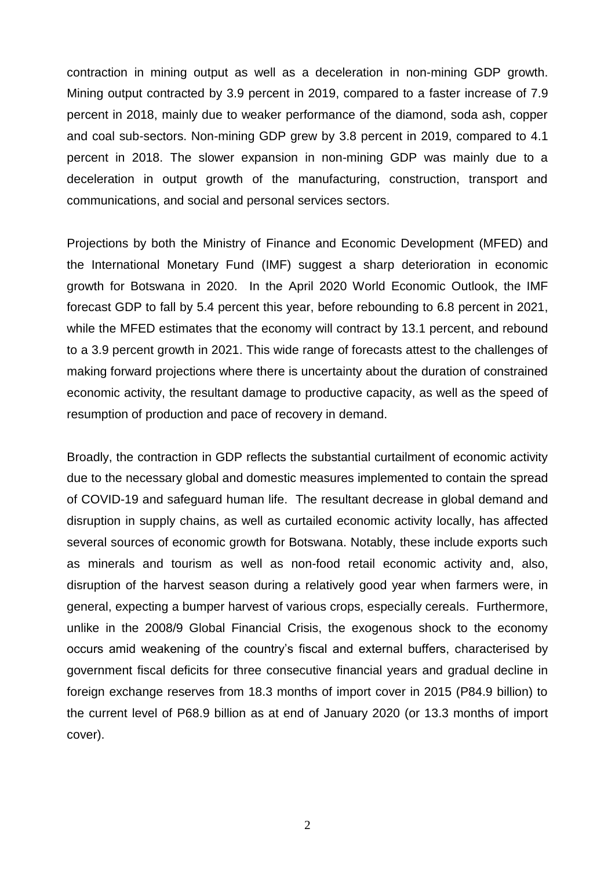contraction in mining output as well as a deceleration in non-mining GDP growth. Mining output contracted by 3.9 percent in 2019, compared to a faster increase of 7.9 percent in 2018, mainly due to weaker performance of the diamond, soda ash, copper and coal sub-sectors. Non-mining GDP grew by 3.8 percent in 2019, compared to 4.1 percent in 2018. The slower expansion in non-mining GDP was mainly due to a deceleration in output growth of the manufacturing, construction, transport and communications, and social and personal services sectors.

Projections by both the Ministry of Finance and Economic Development (MFED) and the International Monetary Fund (IMF) suggest a sharp deterioration in economic growth for Botswana in 2020. In the April 2020 World Economic Outlook, the IMF forecast GDP to fall by 5.4 percent this year, before rebounding to 6.8 percent in 2021, while the MFED estimates that the economy will contract by 13.1 percent, and rebound to a 3.9 percent growth in 2021. This wide range of forecasts attest to the challenges of making forward projections where there is uncertainty about the duration of constrained economic activity, the resultant damage to productive capacity, as well as the speed of resumption of production and pace of recovery in demand.

Broadly, the contraction in GDP reflects the substantial curtailment of economic activity due to the necessary global and domestic measures implemented to contain the spread of COVID-19 and safeguard human life. The resultant decrease in global demand and disruption in supply chains, as well as curtailed economic activity locally, has affected several sources of economic growth for Botswana. Notably, these include exports such as minerals and tourism as well as non-food retail economic activity and, also, disruption of the harvest season during a relatively good year when farmers were, in general, expecting a bumper harvest of various crops, especially cereals. Furthermore, unlike in the 2008/9 Global Financial Crisis, the exogenous shock to the economy occurs amid weakening of the country's fiscal and external buffers, characterised by government fiscal deficits for three consecutive financial years and gradual decline in foreign exchange reserves from 18.3 months of import cover in 2015 (P84.9 billion) to the current level of P68.9 billion as at end of January 2020 (or 13.3 months of import cover).

2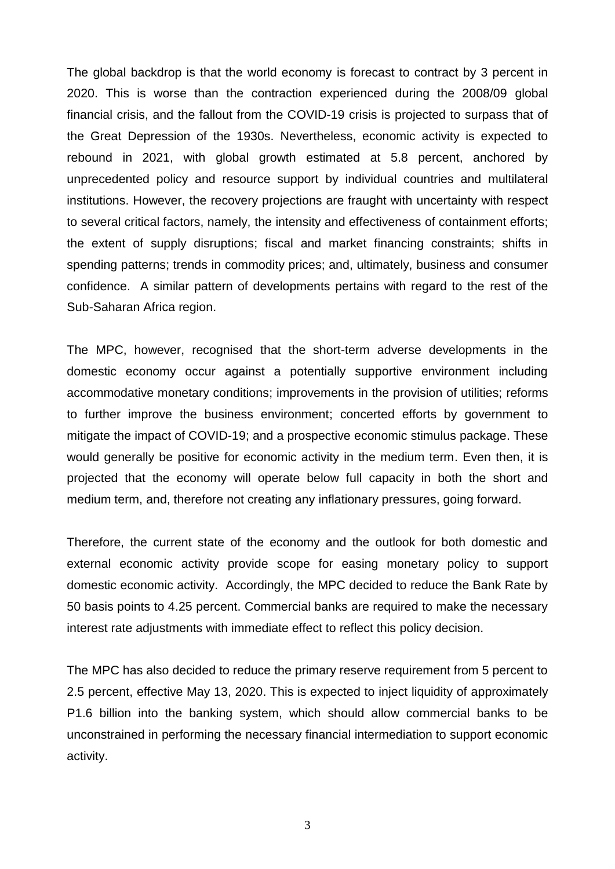The global backdrop is that the world economy is forecast to contract by 3 percent in 2020. This is worse than the contraction experienced during the 2008/09 global financial crisis, and the fallout from the COVID-19 crisis is projected to surpass that of the Great Depression of the 1930s. Nevertheless, economic activity is expected to rebound in 2021, with global growth estimated at 5.8 percent, anchored by unprecedented policy and resource support by individual countries and multilateral institutions. However, the recovery projections are fraught with uncertainty with respect to several critical factors, namely, the intensity and effectiveness of containment efforts; the extent of supply disruptions; fiscal and market financing constraints; shifts in spending patterns; trends in commodity prices; and, ultimately, business and consumer confidence. A similar pattern of developments pertains with regard to the rest of the Sub-Saharan Africa region.

The MPC, however, recognised that the short-term adverse developments in the domestic economy occur against a potentially supportive environment including accommodative monetary conditions; improvements in the provision of utilities; reforms to further improve the business environment; concerted efforts by government to mitigate the impact of COVID-19; and a prospective economic stimulus package. These would generally be positive for economic activity in the medium term. Even then, it is projected that the economy will operate below full capacity in both the short and medium term, and, therefore not creating any inflationary pressures, going forward.

Therefore, the current state of the economy and the outlook for both domestic and external economic activity provide scope for easing monetary policy to support domestic economic activity. Accordingly, the MPC decided to reduce the Bank Rate by 50 basis points to 4.25 percent. Commercial banks are required to make the necessary interest rate adjustments with immediate effect to reflect this policy decision.

The MPC has also decided to reduce the primary reserve requirement from 5 percent to 2.5 percent, effective May 13, 2020. This is expected to inject liquidity of approximately P1.6 billion into the banking system, which should allow commercial banks to be unconstrained in performing the necessary financial intermediation to support economic activity.

3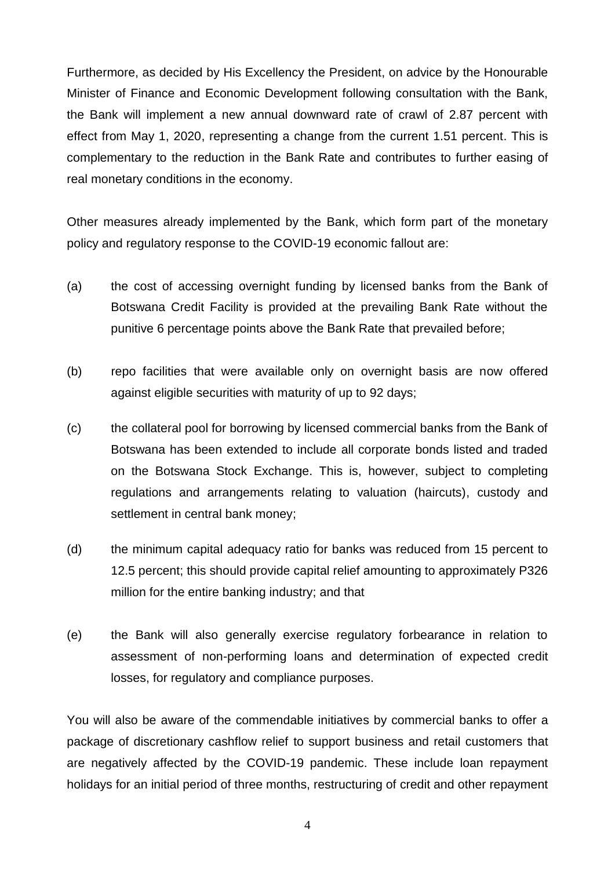Furthermore, as decided by His Excellency the President, on advice by the Honourable Minister of Finance and Economic Development following consultation with the Bank, the Bank will implement a new annual downward rate of crawl of 2.87 percent with effect from May 1, 2020, representing a change from the current 1.51 percent. This is complementary to the reduction in the Bank Rate and contributes to further easing of real monetary conditions in the economy.

Other measures already implemented by the Bank, which form part of the monetary policy and regulatory response to the COVID-19 economic fallout are:

- (a) the cost of accessing overnight funding by licensed banks from the Bank of Botswana Credit Facility is provided at the prevailing Bank Rate without the punitive 6 percentage points above the Bank Rate that prevailed before;
- (b) repo facilities that were available only on overnight basis are now offered against eligible securities with maturity of up to 92 days;
- (c) the collateral pool for borrowing by licensed commercial banks from the Bank of Botswana has been extended to include all corporate bonds listed and traded on the Botswana Stock Exchange. This is, however, subject to completing regulations and arrangements relating to valuation (haircuts), custody and settlement in central bank money;
- (d) the minimum capital adequacy ratio for banks was reduced from 15 percent to 12.5 percent; this should provide capital relief amounting to approximately P326 million for the entire banking industry; and that
- (e) the Bank will also generally exercise regulatory forbearance in relation to assessment of non-performing loans and determination of expected credit losses, for regulatory and compliance purposes.

You will also be aware of the commendable initiatives by commercial banks to offer a package of discretionary cashflow relief to support business and retail customers that are negatively affected by the COVID-19 pandemic. These include loan repayment holidays for an initial period of three months, restructuring of credit and other repayment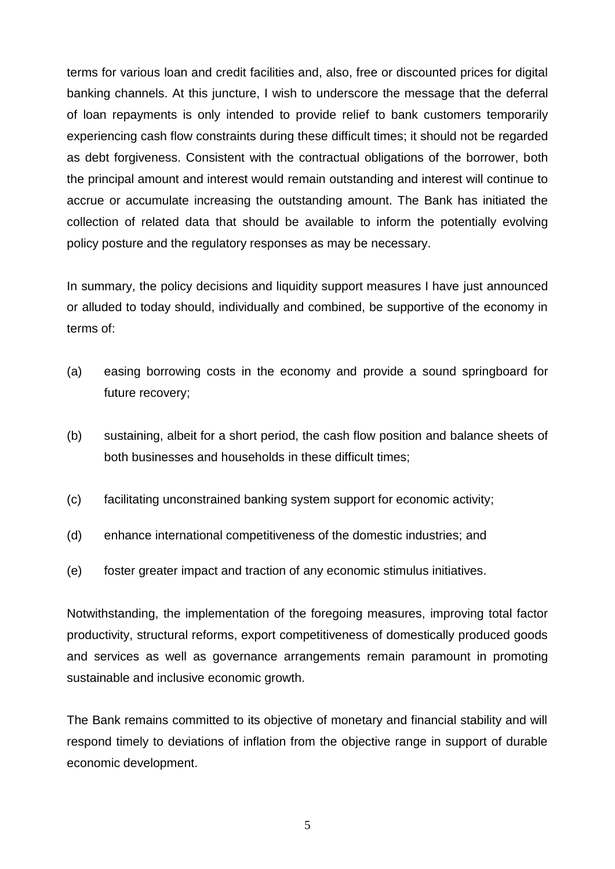terms for various loan and credit facilities and, also, free or discounted prices for digital banking channels. At this juncture, I wish to underscore the message that the deferral of loan repayments is only intended to provide relief to bank customers temporarily experiencing cash flow constraints during these difficult times; it should not be regarded as debt forgiveness. Consistent with the contractual obligations of the borrower, both the principal amount and interest would remain outstanding and interest will continue to accrue or accumulate increasing the outstanding amount. The Bank has initiated the collection of related data that should be available to inform the potentially evolving policy posture and the regulatory responses as may be necessary.

In summary, the policy decisions and liquidity support measures I have just announced or alluded to today should, individually and combined, be supportive of the economy in terms of:

- (a) easing borrowing costs in the economy and provide a sound springboard for future recovery;
- (b) sustaining, albeit for a short period, the cash flow position and balance sheets of both businesses and households in these difficult times;
- (c) facilitating unconstrained banking system support for economic activity;
- (d) enhance international competitiveness of the domestic industries; and
- (e) foster greater impact and traction of any economic stimulus initiatives.

Notwithstanding, the implementation of the foregoing measures, improving total factor productivity, structural reforms, export competitiveness of domestically produced goods and services as well as governance arrangements remain paramount in promoting sustainable and inclusive economic growth.

The Bank remains committed to its objective of monetary and financial stability and will respond timely to deviations of inflation from the objective range in support of durable economic development.

5